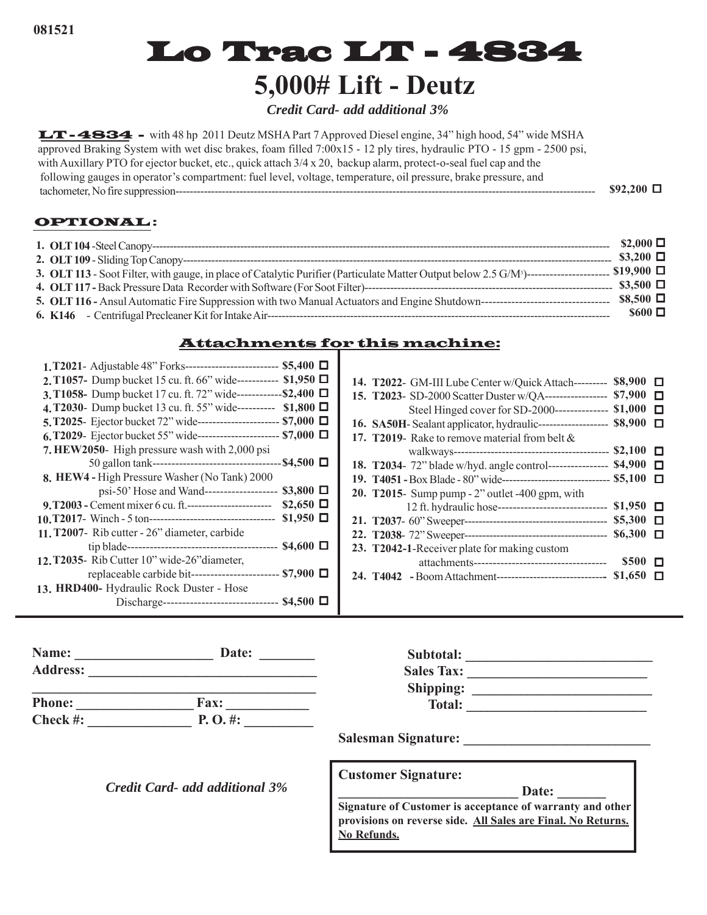# Lo Trac LT - 4834 **5,000# Lift - Deutz**

*Credit Card- add additional 3%*

LT - 4834 - with 48 hp 2011 Deutz MSHA Part 7 Approved Diesel engine, 34" high hood, 54" wide MSHA approved Braking System with wet disc brakes, foam filled 7:00x15 - 12 ply tires, hydraulic PTO - 15 gpm - 2500 psi, with Auxillary PTO for ejector bucket, etc., quick attach  $3/4 \times 20$ , backup alarm, protect-o-seal fuel cap and the following gauges in operator's compartment: fuel level, voltage, temperature, oil pressure, brake pressure, and tachometer, No fire suppression---------------------------------------------------------------------------------------------------------------------- **\$92,200** 

### OPTIONAL :

|                                                                                                                                                                                   | $$2,000$ $\square$  |  |
|-----------------------------------------------------------------------------------------------------------------------------------------------------------------------------------|---------------------|--|
|                                                                                                                                                                                   | $$3,200$ $\square$  |  |
| $\frac{1}{2}$ \$19,900 $\Box$<br>3. OLT 113 - Soot Filter, with gauge, in place of Catalytic Purifier (Particulate Matter Output below 2.5 G/M <sup>3</sup> )-------------------- |                     |  |
|                                                                                                                                                                                   | $\$3,500$ $\square$ |  |
|                                                                                                                                                                                   | $$8.500$ $\square$  |  |
|                                                                                                                                                                                   | $$600$ $\square$    |  |

# Attachments for this machine:

| 1. T2021 - Adjustable 48" Forks---------------------------- \$5,400 □     |                    |  |
|---------------------------------------------------------------------------|--------------------|--|
| 2. T1057- Dump bucket 15 cu. ft. 66" wide----------- \$1,950              |                    |  |
| 3. T1058- Dump bucket 17 cu. ft. 72" wide-------------\$2,400 $\Box$      |                    |  |
| 4. T2030- Dump bucket 13 cu. ft. 55" wide---------- \$1,800 □             |                    |  |
| 5. T2025- Ejector bucket 72" wide------------------------- \$7,000 $\Box$ |                    |  |
| 6, T2029- Ejector bucket 55" wide------------------------ \$7,000 □       |                    |  |
| 7. HEW2050- High pressure wash with 2,000 psi                             |                    |  |
|                                                                           |                    |  |
| 8. HEW4 - High Pressure Washer (No Tank) 2000                             |                    |  |
| psi-50' Hose and Wand-------------------                                  | $$3,800$ $\square$ |  |
| 9. T2003 - Cement mixer 6 cu. ft.--------------------------------         | $$2,650$ $\square$ |  |
|                                                                           | $$1,950$ $\square$ |  |
| 11. T2007- Rib cutter - 26" diameter, carbide                             |                    |  |
|                                                                           |                    |  |
| 12. T2035- Rib Cutter 10" wide-26" diameter,                              |                    |  |
| replaceable carbide bit------------------------ \$7,900 □                 |                    |  |
| 13. HRD400- Hydraulic Rock Duster - Hose                                  |                    |  |
| Discharge------------------------------- \$4,500 □                        |                    |  |
|                                                                           |                    |  |

| 14. T2022- GM-III Lube Center w/Quick Attach---------                              | $$8,900$ $\square$ |  |
|------------------------------------------------------------------------------------|--------------------|--|
| 15. T2023- SD-2000 Scatter Duster w/QA------------------- \$7,900 □                |                    |  |
| Steel Hinged cover for SD-2000-------------- \$1,000 □                             |                    |  |
| 16. SA50H- Sealant applicator, hydraulic-------------------- \$8,900 □             |                    |  |
| 17. T2019- Rake to remove material from belt $\&$                                  |                    |  |
|                                                                                    |                    |  |
| 18. T2034- 72" blade w/hyd. angle control----------------- \$4,900 □               |                    |  |
| 19. T4051 - Box Blade - 80" wide----------------------------------- \$5,100 $\Box$ |                    |  |
| <b>20.</b> T2015- Sump pump - 2" outlet -400 gpm, with                             |                    |  |
| 12 ft. hydraulic hose------------------------------ \$1,950 □                      |                    |  |
|                                                                                    |                    |  |
|                                                                                    |                    |  |
| 23. T2042-1-Receiver plate for making custom                                       |                    |  |
|                                                                                    | $$500$ $\square$   |  |
| 24. T4042 -Boom Attachment-------------------------------- \$1,650 □               |                    |  |
|                                                                                    |                    |  |

| Name:           | Date:    | Subtotal:                              |  |
|-----------------|----------|----------------------------------------|--|
| <b>Address:</b> |          | <b>Sales Tax:</b>                      |  |
|                 |          | Shipping:                              |  |
| <b>Phone:</b>   | Fax:     | <b>Total:</b>                          |  |
| Check #:        | P. O. #: |                                        |  |
|                 |          | $\sim$ $\blacksquare$<br>$\sim$ $\sim$ |  |

**Salesman Signature: \_\_\_\_\_\_\_\_\_\_\_\_\_\_\_\_\_\_\_\_\_\_\_\_\_\_\_**

*Credit Card- add additional 3%*

|  | <b>Customer Signature:</b> |
|--|----------------------------|
|--|----------------------------|

**\_\_\_\_\_\_\_\_\_\_\_\_\_\_\_\_\_\_\_\_\_\_\_\_\_\_ Date: \_\_\_\_\_\_\_**

**Signature of Customer is acceptance of warranty and other provisions on reverse side. All Sales are Final. No Returns. No Refunds.**